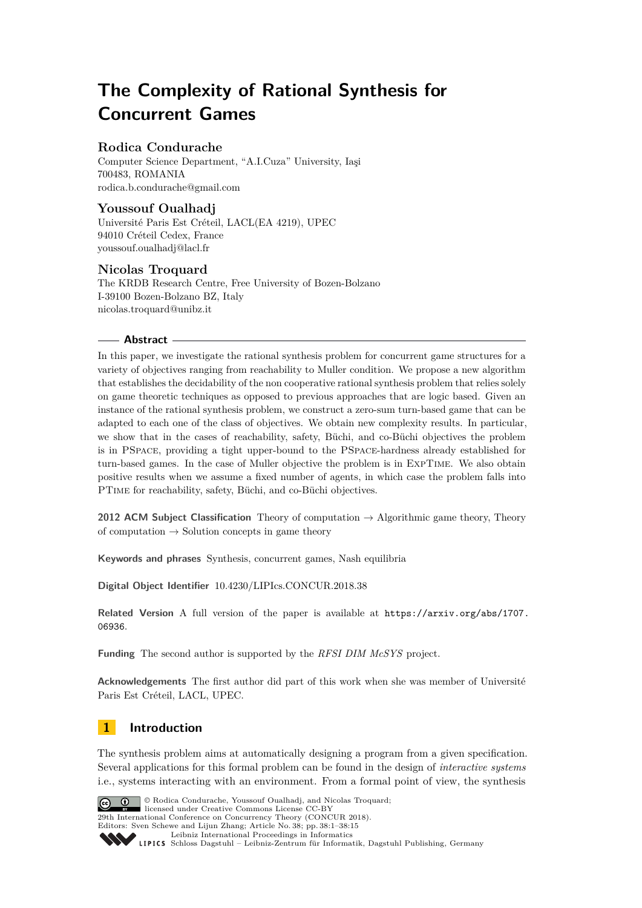# **The Complexity of Rational Synthesis for Concurrent Games**

# **Rodica Condurache**

Computer Science Department, "A.I.Cuza" University, Iaşi 700483, ROMANIA [rodica.b.condurache@gmail.com](mailto:rodica.b.condurache@gmail.com)

# **Youssouf Oualhadj**

Université Paris Est Créteil, LACL(EA 4219), UPEC 94010 Créteil Cedex, France [youssouf.oualhadj@lacl.fr](mailto:youssouf.oualhadj@lacl.fr)

# **Nicolas Troquard**

The KRDB Research Centre, Free University of Bozen-Bolzano I-39100 Bozen-Bolzano BZ, Italy [nicolas.troquard@unibz.it](mailto:nicolas.troquard@unibz.it)

## **Abstract**

In this paper, we investigate the rational synthesis problem for concurrent game structures for a variety of objectives ranging from reachability to Muller condition. We propose a new algorithm that establishes the decidability of the non cooperative rational synthesis problem that relies solely on game theoretic techniques as opposed to previous approaches that are logic based. Given an instance of the rational synthesis problem, we construct a zero-sum turn-based game that can be adapted to each one of the class of objectives. We obtain new complexity results. In particular, we show that in the cases of reachability, safety, Büchi, and co-Büchi objectives the problem is in PSpace, providing a tight upper-bound to the PSpace-hardness already established for turn-based games. In the case of Muller objective the problem is in ExpTime. We also obtain positive results when we assume a fixed number of agents, in which case the problem falls into PTime for reachability, safety, Büchi, and co-Büchi objectives.

**2012 ACM Subject Classification** Theory of computation → Algorithmic game theory, Theory of computation  $\rightarrow$  Solution concepts in game theory

**Keywords and phrases** Synthesis, concurrent games, Nash equilibria

**Digital Object Identifier** [10.4230/LIPIcs.CONCUR.2018.38](http://dx.doi.org/10.4230/LIPIcs.CONCUR.2018.38)

**Related Version** A full version of the paper is available at [https://arxiv.org/abs/1707.](https://arxiv.org/abs/1707.06936) [06936](https://arxiv.org/abs/1707.06936).

**Funding** The second author is supported by the *RFSI DIM McSYS* project.

**Acknowledgements** The first author did part of this work when she was member of Université Paris Est Créteil, LACL, UPEC.

# **1 Introduction**

The synthesis problem aims at automatically designing a program from a given specification. Several applications for this formal problem can be found in the design of *interactive systems* i.e., systems interacting with an environment. From a formal point of view, the synthesis



© Rodica Condurache, Youssouf Oualhadj, and Nicolas Troquard; **29th International Conference on Concurrency Theory (CONCUR 2018).** 

Editors: Sven Schewe and Lijun Zhang; Article No. 38; pp. 38:1–38[:15](#page-14-0)

[Leibniz International Proceedings in Informatics](http://www.dagstuhl.de/lipics/) Leibniz international Floretungs in miximismos<br>
LIPICS [Schloss Dagstuhl – Leibniz-Zentrum für Informatik, Dagstuhl Publishing, Germany](http://www.dagstuhl.de)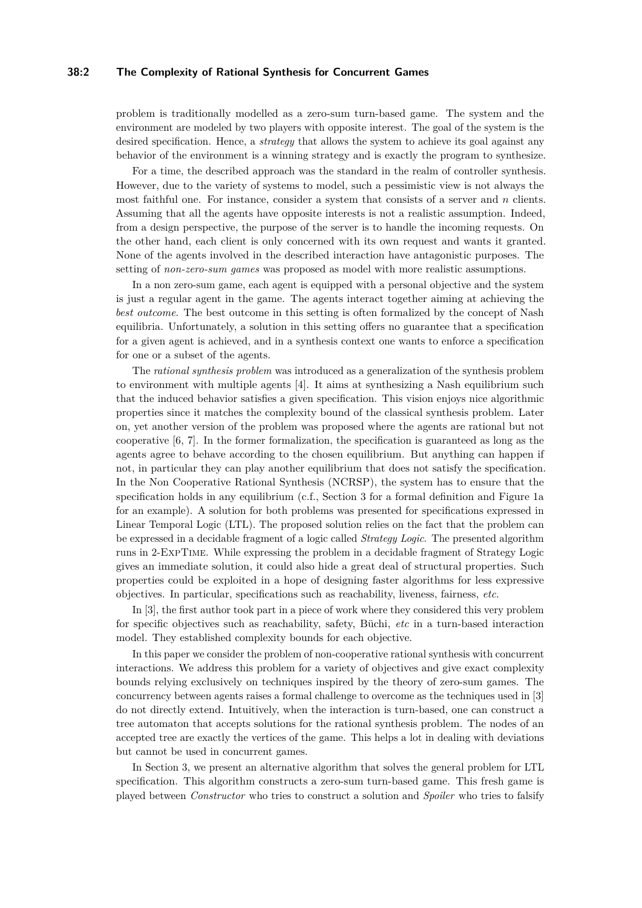## **38:2 The Complexity of Rational Synthesis for Concurrent Games**

problem is traditionally modelled as a zero-sum turn-based game. The system and the environment are modeled by two players with opposite interest. The goal of the system is the desired specification. Hence, a *strategy* that allows the system to achieve its goal against any behavior of the environment is a winning strategy and is exactly the program to synthesize.

For a time, the described approach was the standard in the realm of controller synthesis. However, due to the variety of systems to model, such a pessimistic view is not always the most faithful one. For instance, consider a system that consists of a server and *n* clients. Assuming that all the agents have opposite interests is not a realistic assumption. Indeed, from a design perspective, the purpose of the server is to handle the incoming requests. On the other hand, each client is only concerned with its own request and wants it granted. None of the agents involved in the described interaction have antagonistic purposes. The setting of *non-zero-sum games* was proposed as model with more realistic assumptions.

In a non zero-sum game, each agent is equipped with a personal objective and the system is just a regular agent in the game. The agents interact together aiming at achieving the *best outcome*. The best outcome in this setting is often formalized by the concept of Nash equilibria. Unfortunately, a solution in this setting offers no guarantee that a specification for a given agent is achieved, and in a synthesis context one wants to enforce a specification for one or a subset of the agents.

The *rational synthesis problem* was introduced as a generalization of the synthesis problem to environment with multiple agents [\[4\]](#page-14-1). It aims at synthesizing a Nash equilibrium such that the induced behavior satisfies a given specification. This vision enjoys nice algorithmic properties since it matches the complexity bound of the classical synthesis problem. Later on, yet another version of the problem was proposed where the agents are rational but not cooperative [\[6,](#page-14-2) [7\]](#page-14-3). In the former formalization, the specification is guaranteed as long as the agents agree to behave according to the chosen equilibrium. But anything can happen if not, in particular they can play another equilibrium that does not satisfy the specification. In the Non Cooperative Rational Synthesis (NCRSP), the system has to ensure that the specification holds in any equilibrium (c.f., Section [3](#page-5-0) for a formal definition and Figure [1a](#page-4-0) for an example). A solution for both problems was presented for specifications expressed in Linear Temporal Logic (LTL). The proposed solution relies on the fact that the problem can be expressed in a decidable fragment of a logic called *Strategy Logic*. The presented algorithm runs in 2-ExpTime. While expressing the problem in a decidable fragment of Strategy Logic gives an immediate solution, it could also hide a great deal of structural properties. Such properties could be exploited in a hope of designing faster algorithms for less expressive objectives. In particular, specifications such as reachability, liveness, fairness, *etc.*

In [\[3\]](#page-14-4), the first author took part in a piece of work where they considered this very problem for specific objectives such as reachability, safety, Büchi, *etc* in a turn-based interaction model. They established complexity bounds for each objective.

In this paper we consider the problem of non-cooperative rational synthesis with concurrent interactions. We address this problem for a variety of objectives and give exact complexity bounds relying exclusively on techniques inspired by the theory of zero-sum games. The concurrency between agents raises a formal challenge to overcome as the techniques used in [\[3\]](#page-14-4) do not directly extend. Intuitively, when the interaction is turn-based, one can construct a tree automaton that accepts solutions for the rational synthesis problem. The nodes of an accepted tree are exactly the vertices of the game. This helps a lot in dealing with deviations but cannot be used in concurrent games.

In Section [3,](#page-5-0) we present an alternative algorithm that solves the general problem for LTL specification. This algorithm constructs a zero-sum turn-based game. This fresh game is played between *Constructor* who tries to construct a solution and *Spoiler* who tries to falsify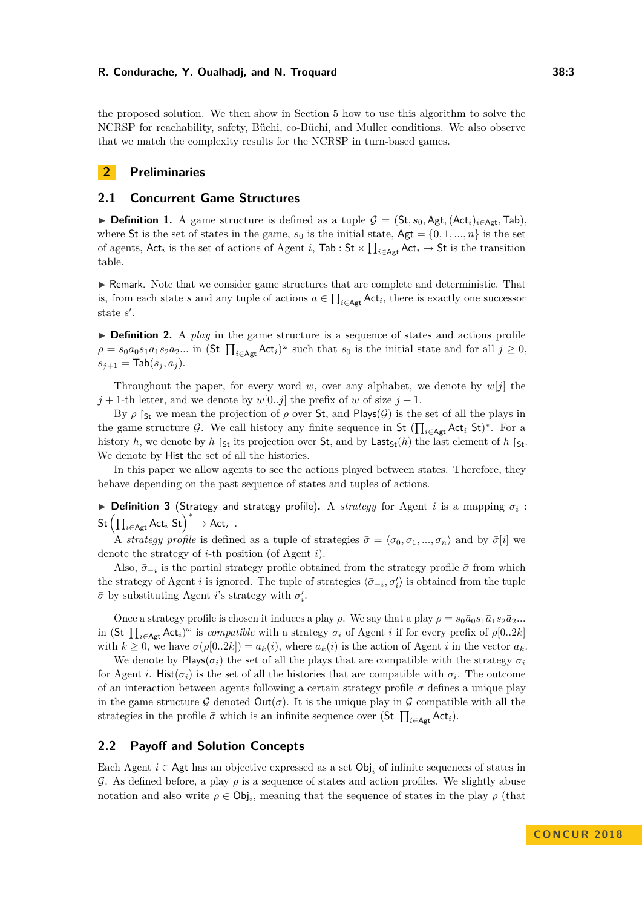the proposed solution. We then show in Section [5](#page-11-0) how to use this algorithm to solve the NCRSP for reachability, safety, Büchi, co-Büchi, and Muller conditions. We also observe that we match the complexity results for the NCRSP in turn-based games.

# **2 Preliminaries**

## **2.1 Concurrent Game Structures**

<span id="page-2-0"></span>**► Definition 1.** A game structure is defined as a tuple  $\mathcal{G} = (\mathsf{St}, s_0, \mathsf{Agt}, (\mathsf{Act}_i)_{i \in \mathsf{Agt}}, \mathsf{Tab}).$ where St is the set of states in the game,  $s_0$  is the initial state,  $Agt = \{0, 1, ..., n\}$  is the set of agents,  $Act_i$  is the set of actions of Agent *i*,  $Tab : St \times \prod_{i \in Agt} Act_i \to St$  is the transition table.

I Remark. Note that we consider game structures that are complete and deterministic. That is, from each state *s* and any tuple of actions  $\bar{a} \in \prod_{i \in \text{Agt}} \text{Act}_i$ , there is exactly one successor state s'.

▶ **Definition 2.** A *play* in the game structure is a sequence of states and actions profile  $\rho = s_0 \bar{a}_0 s_1 \bar{a}_1 s_2 \bar{a}_2 ...$  in (St  $\prod_{i \in \mathsf{Agt}} \mathsf{Act}_i)^\omega$  such that  $s_0$  is the initial state and for all  $j \geq 0$ ,  $s_{j+1} = \textsf{Tab}(s_j, \bar{a}_j).$ 

Throughout the paper, for every word *w*, over any alphabet, we denote by  $w[j]$  the  $j + 1$ -th letter, and we denote by  $w[0..j]$  the prefix of *w* of size  $j + 1$ .

By  $\rho$  S<sub>t</sub> we mean the projection of  $\rho$  over St, and Plays( $\mathcal{G}$ ) is the set of all the plays in the game structure G. We call history any finite sequence in St  $(\prod_{i\in \mathsf{Agt}} \mathsf{Act}_i \mathsf{St})^*$ . For a history *h*, we denote by *h*  $\mathcal{S}_t$  its projection over **St**, and by Last $\mathcal{S}_t(h)$  the last element of *h*  $\mathcal{S}_t$ . We denote by Hist the set of all the histories.

In this paper we allow agents to see the actions played between states. Therefore, they behave depending on the past sequence of states and tuples of actions.

 $\triangleright$  **Definition 3** (Strategy and strategy profile). A *strategy* for Agent *i* is a mapping  $\sigma_i$ :  $\mathsf{St}\left(\prod_{i\in \mathsf{Agt}} \mathsf{Act}_i \; \mathsf{St}\right)^* \to \mathsf{Act}_i$ .

A *strategy profile* is defined as a tuple of strategies  $\bar{\sigma} = \langle \sigma_0, \sigma_1, ..., \sigma_n \rangle$  and by  $\bar{\sigma}[i]$  we denote the strategy of *i*-th position (of Agent *i*).

Also,  $\bar{\sigma}_{-i}$  is the partial strategy profile obtained from the strategy profile  $\bar{\sigma}$  from which the strategy of Agent *i* is ignored. The tuple of strategies  $\langle \bar{\sigma}_{-i}, \sigma_i' \rangle$  is obtained from the tuple  $\bar{\sigma}$  by substituting Agent *i*'s strategy with  $\sigma'_i$ .

Once a strategy profile is chosen it induces a play *ρ*. We say that a play  $ρ = s_0\bar{a}_0s_1\bar{a}_1s_2\bar{a}_2...$ in  $(\text{St } \prod_{i \in \text{Agt}} \text{Act}_i)^\omega$  is *compatible* with a strategy  $\sigma_i$  of Agent *i* if for every prefix of  $\rho[0..2k]$ with  $k \geq 0$ , we have  $\sigma(\rho[0..2k]) = \bar{a}_k(i)$ , where  $\bar{a}_k(i)$  is the action of Agent *i* in the vector  $\bar{a}_k$ .

We denote by Plays( $\sigma_i$ ) the set of all the plays that are compatible with the strategy  $\sigma_i$ for Agent *i*. Hist $(\sigma_i)$  is the set of all the histories that are compatible with  $\sigma_i$ . The outcome of an interaction between agents following a certain strategy profile  $\bar{\sigma}$  defines a unique play in the game structure G denoted  $\text{Out}(\bar{\sigma})$ . It is the unique play in G compatible with all the strategies in the profile  $\bar{\sigma}$  which is an infinite sequence over (St  $\prod_{i \in \mathsf{Agt}} \mathsf{Act}_i$ ).

## **2.2 Payoff and Solution Concepts**

Each Agent  $i \in \text{Agt}$  has an objective expressed as a set  $\text{Obj}_i$  of infinite sequences of states in G. As defined before, a play *ρ* is a sequence of states and action profiles. We slightly abuse notation and also write  $\rho \in \mathsf{Obj}_i$ , meaning that the sequence of states in the play  $\rho$  (that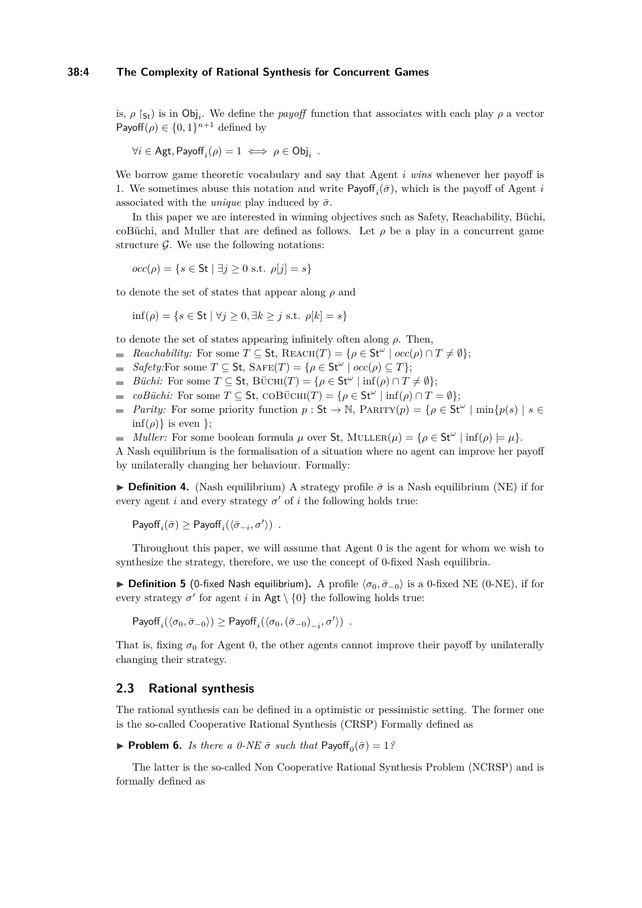# **38:4 The Complexity of Rational Synthesis for Concurrent Games**

is,  $\rho$   $\upharpoonright$ <sub>St</sub>) is in Obj<sub>i</sub>. We define the *payoff* function that associates with each play  $\rho$  a vector Payoff( $\rho$ )  $\in \{0,1\}^{n+1}$  defined by

$$
\forall i \in \mathsf{Agt}, \mathsf{Payoff}_i(\rho) = 1 \iff \rho \in \mathsf{Obj}_i .
$$

We borrow game theoretic vocabulary and say that Agent *i wins* whenever her payoff is 1. We sometimes abuse this notation and write  $\mathsf{Payoff}_i(\bar{\sigma})$ , which is the payoff of Agent *i* associated with the *unique* play induced by  $\bar{\sigma}$ .

In this paper we are interested in winning objectives such as Safety, Reachability, Büchi, coBüchi, and Muller that are defined as follows. Let  $\rho$  be a play in a concurrent game structure  $\mathcal{G}$ . We use the following notations:

$$
occ(\rho) = \{ s \in \mathsf{St} \mid \exists j \ge 0 \text{ s.t. } \rho[j] = s \}
$$

to denote the set of states that appear along  $\rho$  and

$$
\inf(\rho) = \{ s \in \mathsf{St} \mid \forall j \ge 0, \exists k \ge j \text{ s.t. } \rho[k] = s \}
$$

to denote the set of states appearing infinitely often along *ρ*. Then,

- *Reachability:* For some  $T \subseteq St$ ,  $REACH(T) = \{ \rho \in St^{\omega} \mid occ(\rho) \cap T \neq \emptyset \}$ ;
- $Safety:$  For some  $T \subseteq$  St,  $SAFE(T) = \{ \rho \in$  St<sup>ω</sup>  $\mid occ(\rho) \subseteq T \}$ ;
- *Büchi:* For some  $T \subseteq$  St, BÜCHI $(T) = \{ \rho \in$  St<sup>ω</sup>  $| \inf(\rho) \cap T \neq \emptyset \}$ ;
- $coB\ddot{u}chi$ : For some  $T \subseteq St$ ,  $COB\ddot{U}CHI(T) = \{ \rho \in St^{\omega} \mid \text{inf}(\rho) \cap T = \emptyset \};$
- *Parity:* For some priority function  $p : St \to \mathbb{N}$ , PARITY $(p) = \{ \rho \in St^{\omega} \mid \min \{ p(s) \mid s \in \mathbb{N} \}$  $\inf(\rho)$ } is even };
- *Muller:* For some boolean formula  $\mu$  over St, MULLER( $\mu$ ) = { $\rho \in$  St<sup>ω</sup> | inf( $\rho$ ) =  $\mu$ }.

A Nash equilibrium is the formalisation of a situation where no agent can improve her payoff by unilaterally changing her behaviour. Formally:

**Definition 4.** (Nash equilibrium) A strategy profile  $\bar{\sigma}$  is a Nash equilibrium (NE) if for every agent *i* and every strategy  $\sigma'$  of *i* the following holds true:

 $\mathsf{Payoff}_i(\bar{\sigma}) \geq \mathsf{Payoff}_i(\langle\bar{\sigma}_{-i},\sigma'\rangle)$ .

Throughout this paper, we will assume that Agent 0 is the agent for whom we wish to synthesize the strategy, therefore, we use the concept of 0-fixed Nash equilibria.

**Definition 5** (0-fixed Nash equilibrium). A profile  $\langle \sigma_0, \bar{\sigma}_{-0} \rangle$  is a 0-fixed NE (0-NE), if for every strategy  $\sigma'$  for agent *i* in Agt  $\setminus$  {0} the following holds true:

 $\mathsf{Payoff}_i(\langle \sigma_0, \bar{\sigma}_{-0} \rangle) \geq \mathsf{Payoff}_i(\langle \sigma_0, (\bar{\sigma}_{-0})_{-i}, \sigma' \rangle)$ .

That is, fixing  $\sigma_0$  for Agent 0, the other agents cannot improve their payoff by unilaterally changing their strategy.

# **2.3 Rational synthesis**

The rational synthesis can be defined in a optimistic or pessimistic setting. The former one is the so-called Cooperative Rational Synthesis (CRSP) Formally defined as

<span id="page-3-0"></span>**Problem 6.** *Is there a 0-NE*  $\bar{\sigma}$  *such that* Payoff<sub>0</sub> $(\bar{\sigma}) = 1$ ?

The latter is the so-called Non Cooperative Rational Synthesis Problem (NCRSP) and is formally defined as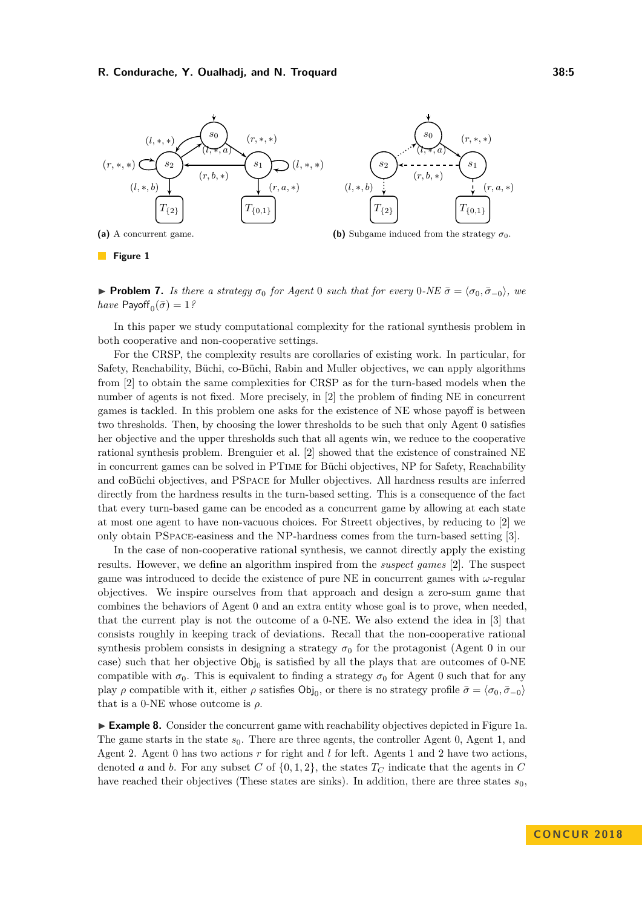<span id="page-4-0"></span>

**Figure 1** 

**► Problem 7.** *Is there a strategy*  $\sigma_0$  *for Agent* 0 *such that for every* 0*-NE*  $\bar{\sigma} = \langle \sigma_0, \bar{\sigma}_{-0} \rangle$ *, we*  $have$   $\mathsf{Payoff}_0(\bar{\sigma}) = 1$ ?

In this paper we study computational complexity for the rational synthesis problem in both cooperative and non-cooperative settings.

For the CRSP, the complexity results are corollaries of existing work. In particular, for Safety, Reachability, Büchi, co-Büchi, Rabin and Muller objectives, we can apply algorithms from [\[2\]](#page-14-5) to obtain the same complexities for CRSP as for the turn-based models when the number of agents is not fixed. More precisely, in [\[2\]](#page-14-5) the problem of finding NE in concurrent games is tackled. In this problem one asks for the existence of NE whose payoff is between two thresholds. Then, by choosing the lower thresholds to be such that only Agent 0 satisfies her objective and the upper thresholds such that all agents win, we reduce to the cooperative rational synthesis problem. Brenguier et al. [\[2\]](#page-14-5) showed that the existence of constrained NE in concurrent games can be solved in PTime for Büchi objectives, NP for Safety, Reachability and coBüchi objectives, and PSpace for Muller objectives. All hardness results are inferred directly from the hardness results in the turn-based setting. This is a consequence of the fact that every turn-based game can be encoded as a concurrent game by allowing at each state at most one agent to have non-vacuous choices. For Streett objectives, by reducing to [\[2\]](#page-14-5) we only obtain PSpace-easiness and the NP-hardness comes from the turn-based setting [\[3\]](#page-14-4).

In the case of non-cooperative rational synthesis, we cannot directly apply the existing results. However, we define an algorithm inspired from the *suspect games* [\[2\]](#page-14-5). The suspect game was introduced to decide the existence of pure NE in concurrent games with *ω*-regular objectives. We inspire ourselves from that approach and design a zero-sum game that combines the behaviors of Agent 0 and an extra entity whose goal is to prove, when needed, that the current play is not the outcome of a 0-NE. We also extend the idea in [\[3\]](#page-14-4) that consists roughly in keeping track of deviations. Recall that the non-cooperative rational synthesis problem consists in designing a strategy  $\sigma_0$  for the protagonist (Agent 0 in our case) such that her objective  $\textsf{Obj}_0$  is satisfied by all the plays that are outcomes of 0-NE compatible with  $\sigma_0$ . This is equivalent to finding a strategy  $\sigma_0$  for Agent 0 such that for any play  $\rho$  compatible with it, either  $\rho$  satisfies  $\text{Obj}_0$ , or there is no strategy profile  $\bar{\sigma} = \langle \sigma_0, \bar{\sigma}_{-0} \rangle$ that is a 0-NE whose outcome is  $\rho$ .

**Example 8.** Consider the concurrent game with reachability objectives depicted in Figure [1a.](#page-4-0) The game starts in the state  $s_0$ . There are three agents, the controller Agent 0, Agent 1, and Agent 2. Agent 0 has two actions *r* for right and *l* for left. Agents 1 and 2 have two actions, denoted *a* and *b*. For any subset *C* of  $\{0, 1, 2\}$ , the states  $T_C$  indicate that the agents in *C* have reached their objectives (These states are sinks). In addition, there are three states  $s_0$ ,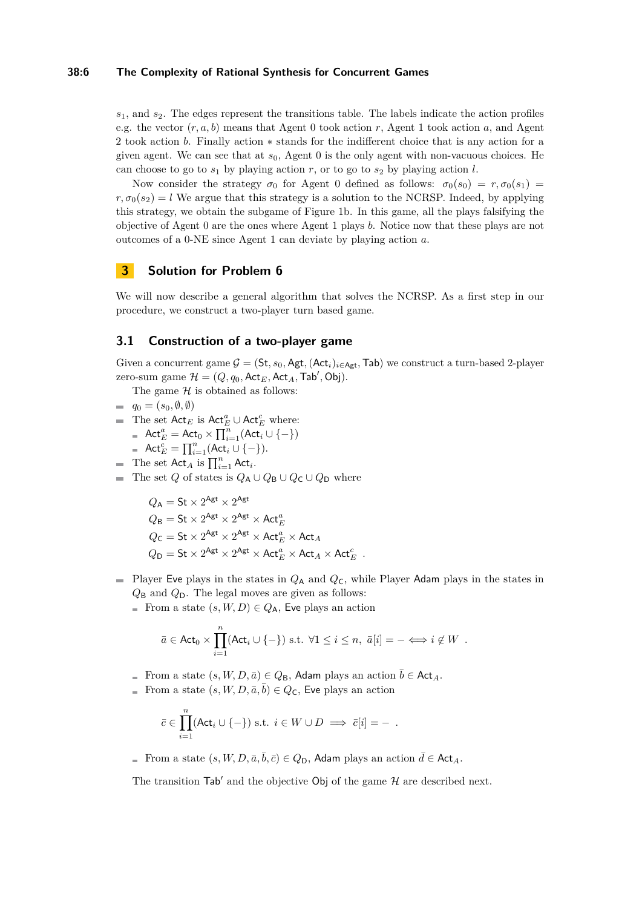#### **38:6 The Complexity of Rational Synthesis for Concurrent Games**

*s*1, and *s*2. The edges represent the transitions table. The labels indicate the action profiles e.g. the vector  $(r, a, b)$  means that Agent 0 took action *r*, Agent 1 took action *a*, and Agent 2 took action *b*. Finally action ∗ stands for the indifferent choice that is any action for a given agent. We can see that at *s*0, Agent 0 is the only agent with non-vacuous choices. He can choose to go to  $s_1$  by playing action  $r$ , or to go to  $s_2$  by playing action  $l$ .

Now consider the strategy  $\sigma_0$  for Agent 0 defined as follows:  $\sigma_0(s_0) = r, \sigma_0(s_1) =$  $r, \sigma_0(s_2) = l$  We argue that this strategy is a solution to the NCRSP. Indeed, by applying this strategy, we obtain the subgame of Figure [1b.](#page-4-0) In this game, all the plays falsifying the objective of Agent 0 are the ones where Agent 1 plays *b*. Notice now that these plays are not outcomes of a 0-NE since Agent 1 can deviate by playing action *a*.

# <span id="page-5-0"></span>**3 Solution for Problem [6](#page-3-0)**

We will now describe a general algorithm that solves the NCRSP. As a first step in our procedure, we construct a two-player turn based game.

## **3.1 Construction of a two-player game**

Given a concurrent game  $G = (St, s_0, \text{Agt}, (\text{Act}_i)_{i \in \text{Agt}}, \text{Tab})$  we construct a turn-based 2-player zero-sum game  $\mathcal{H} = (Q, q_0, \mathsf{Act}_E, \mathsf{Act}_A, \mathsf{Tab}', \mathsf{Obj}).$ 

- The game  $H$  is obtained as follows:
- $q_0 = (s_0, \emptyset, \emptyset)$
- The set  $\mathsf{Act}_E$  is  $\mathsf{Act}_E^a \cup \mathsf{Act}_E^c$  where:
	- $\mathsf{Act}^a_E = \mathsf{Act}_0 \times \prod_{i=1}^n (\mathsf{Act}_i \cup \{-\})$
	- $\mathsf{Act}^c_E = \prod_{i=1}^n (\mathsf{Act}_i \cup \{-\}).$
- The set  $Act_A$  is  $\prod_{i=1}^n Act_i$ .
- The set *Q* of states is  $Q_A \cup Q_B \cup Q_C \cup Q_D$  where

 $Q_{\mathsf{A}} = \mathsf{St} \times 2^{\mathsf{Agt}} \times 2^{\mathsf{Agt}}$  $Q_{\mathsf{B}} = \mathsf{St} \times 2^{\mathsf{Agt}} \times 2^{\mathsf{Agt}} \times \mathsf{Act}^a_E$  $Q_{\mathsf{C}} = \mathsf{St} \times 2^{\mathsf{Agt}} \times 2^{\mathsf{Agt}} \times \mathsf{Act}^a_E \times \mathsf{Act}_A$  $Q_{\text{D}} = \text{St} \times 2^{\text{Agt}} \times 2^{\text{Agt}} \times \text{Act}_{E}^{a} \times \text{Act}_{A} \times \text{Act}_{E}^{c}$ .

- Player Eve plays in the states in  $Q_A$  and  $Q_C$ , while Player Adam plays in the states in *Q*<sup>B</sup> and *Q*D. The legal moves are given as follows:
	- From a state  $(s, W, D) \in Q_A$ , Eve plays an action

$$
\bar{a} \in \text{Act}_0 \times \prod_{i=1}^n (\text{Act}_i \cup \{-\}) \text{ s.t. } \forall 1 \leq i \leq n, \ \bar{a}[i] = - \Longleftrightarrow i \notin W .
$$

- From a state  $(s, W, D, \bar{a}) \in Q_B$ , Adam plays an action  $\bar{b} \in Act_A$ .
- From a state  $(s, W, D, \bar{a}, \bar{b}) \in Q_{\mathsf{C}}$ , Eve plays an action

$$
\bar{c} \in \prod_{i=1}^n (\text{Act}_i \cup \{-\}) \text{ s.t. } i \in W \cup D \implies \bar{c}[i] = -.
$$

From a state  $(s, W, D, \bar{a}, \bar{b}, \bar{c}) \in Q_{\mathsf{D}}$ , Adam plays an action  $\bar{d} \in \mathsf{Act}_A$ .

The transition  $\text{Tab}'$  and the objective Obj of the game  $\mathcal H$  are described next.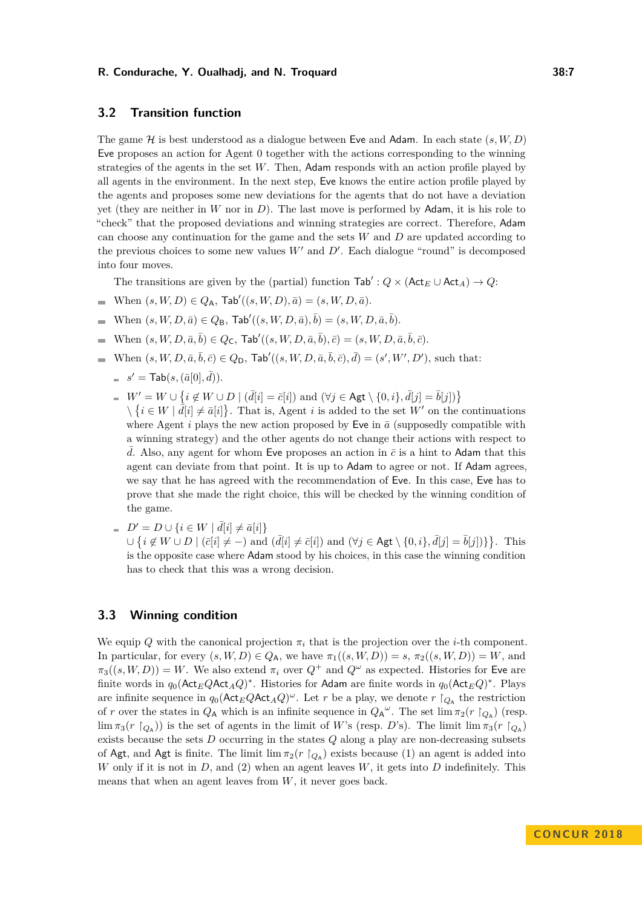## **3.2 Transition function**

The game  $H$  is best understood as a dialogue between Eve and Adam. In each state  $(s, W, D)$ Eve proposes an action for Agent 0 together with the actions corresponding to the winning strategies of the agents in the set *W*. Then, Adam responds with an action profile played by all agents in the environment. In the next step, Eve knows the entire action profile played by the agents and proposes some new deviations for the agents that do not have a deviation yet (they are neither in *W* nor in *D*). The last move is performed by Adam, it is his role to "check" that the proposed deviations and winning strategies are correct. Therefore, Adam can choose any continuation for the game and the sets *W* and *D* are updated according to the previous choices to some new values  $W'$  and  $D'$ . Each dialogue "round" is decomposed into four moves.

The transitions are given by the (partial) function  $\text{Tab}' : Q \times (\text{Act}_E \cup \text{Act}_A) \rightarrow Q$ :

- $\text{When } (s, W, D) \in Q_A$ ,  $\text{Tab}'((s, W, D), \bar{a}) = (s, W, D, \bar{a}).$  $\blacksquare$
- $\text{When } (s, W, D, \bar{a}) \in Q_{\mathsf{B}}, \text{Tab}'((s, W, D, \bar{a}), \bar{b}) = (s, W, D, \bar{a}, \bar{b}).$  $\overline{\phantom{a}}$
- $\text{When } (s, W, D, \bar{a}, \bar{b}) \in Q_{\mathsf{C}}, \text{Tab}'((s, W, D, \bar{a}, \bar{b}), \bar{c}) = (s, W, D, \bar{a}, \bar{b}, \bar{c}).$
- $W$ hen  $(s, W, D, \bar{a}, \bar{b}, \bar{c}) \in Q_D$ ,  $\text{Tab}'((s, W, D, \bar{a}, \bar{b}, \bar{c}), \bar{d}) = (s', W', D')$ , such that:
	- $s' = \textsf{Tab}(s,(\bar{a}[0],\bar{d})).$
	- *W*<sup>*'*</sup> = *W* ∪ {*i* ∉ *W* ∪ *D* | ( $d\bar{d}[i] = \bar{c}[i]$ ) and ( $\forall j$  ∈ Agt \{0*, i*}*,* $d[j] = \bar{b}[j]$ )}
		- $\setminus \{i \in W \mid d[i] \neq \bar{a}[i]\}.$  That is, Agent *i* is added to the set *W'* on the continuations where Agent *i* plays the new action proposed by Eve in  $\bar{a}$  (supposedly compatible with a winning strategy) and the other agents do not change their actions with respect to d. Also, any agent for whom Eve proposes an action in  $\bar{c}$  is a hint to Adam that this agent can deviate from that point. It is up to Adam to agree or not. If Adam agrees, we say that he has agreed with the recommendation of Eve. In this case, Eve has to prove that she made the right choice, this will be checked by the winning condition of the game.
	- $D' = D \cup \{ i \in W \mid \bar{d}[i] \neq \bar{a}[i] \}$ ∪ { $i \notin W \cup D \mid (\bar{c}[i] \neq -)$  and  $(\bar{d}[i] \neq \bar{c}[i])$  and  $(\forall j \in \mathsf{Agt} \setminus \{0, i\}, \bar{d}[j] = \bar{b}[j])\}$ }. This is the opposite case where Adam stood by his choices, in this case the winning condition has to check that this was a wrong decision.

# **3.3 Winning condition**

We equip  $Q$  with the canonical projection  $\pi_i$  that is the projection over the *i*-th component. In particular, for every  $(s, W, D) \in Q_A$ , we have  $\pi_1((s, W, D)) = s$ ,  $\pi_2((s, W, D)) = W$ , and  $\pi_3((s, W, D)) = W$ . We also extend  $\pi_i$  over  $Q^+$  and  $Q^{\omega}$  as expected. Histories for Eve are finite words in  $q_0(\mathsf{Act}_EQ\mathsf{Act}_AQ)^*$ . Histories for Adam are finite words in  $q_0(\mathsf{Act}_EQ)^*$ . Plays are infinite sequence in  $q_0(\text{Act}_E Q \text{Act}_A Q)^\omega$ . Let *r* be a play, we denote *r*  $\restriction_{Q_A}$  the restriction of *r* over the states in  $Q_A$  which is an infinite sequence in  $Q_A^{\omega}$ . The set  $\lim_{\pi_2}(r \restriction_{Q_A})$  (resp.  $\lim \pi_3(r \restriction_{Q_A})$  is the set of agents in the limit of *W*'s (resp. *D*'s). The limit  $\lim \pi_3(r \restriction_{Q_A})$ exists because the sets *D* occurring in the states *Q* along a play are non-decreasing subsets of Agt, and Agt is finite. The limit  $\lim_{\tau_2}(r \restriction_{Q_A})$  exists because (1) an agent is added into *W* only if it is not in *D*, and (2) when an agent leaves *W*, it gets into *D* indefinitely. This means that when an agent leaves from *W*, it never goes back.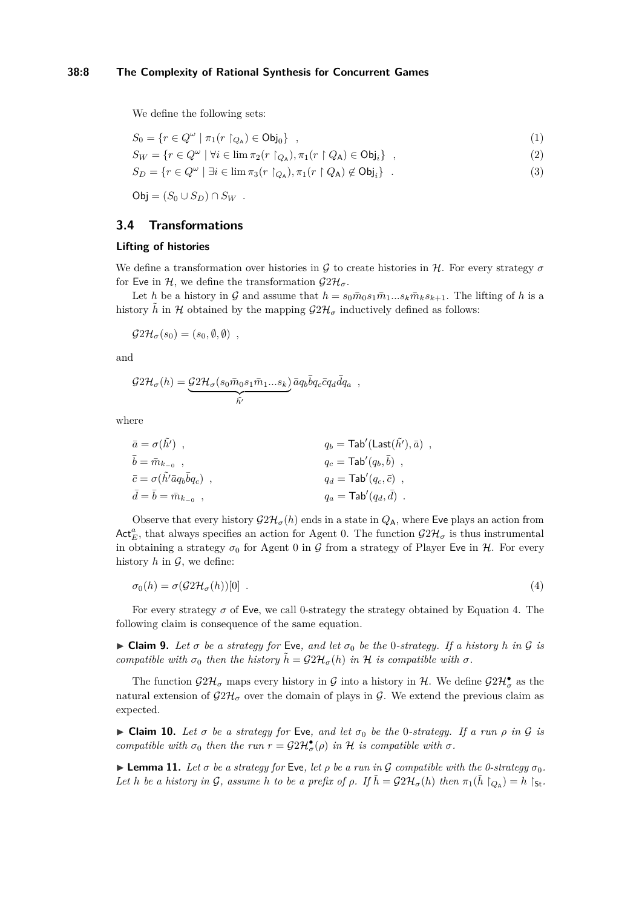## **38:8 The Complexity of Rational Synthesis for Concurrent Games**

We define the following sets:

$$
S_0 = \{ r \in Q^{\omega} \mid \pi_1(r \restriction_{Q_A}) \in \mathsf{Obj}_0 \} , \tag{1}
$$

$$
S_W = \{ r \in Q^{\omega} \mid \forall i \in \lim \pi_2(r \upharpoonright_{Q_{\mathsf{A}}}), \pi_1(r \upharpoonright Q_{\mathsf{A}}) \in \mathsf{Obj}_i \}, \tag{2}
$$

$$
S_D = \{ r \in Q^{\omega} \mid \exists i \in \lim \pi_3(r \upharpoonright_{Q_{\mathsf{A}}}), \pi_1(r \upharpoonright Q_{\mathsf{A}}) \notin \mathsf{Obj}_i \} . \tag{3}
$$

 $Obj = (S_0 \cup S_D) \cap S_W$ .

# **3.4 Transformations**

## <span id="page-7-1"></span>**Lifting of histories**

We define a transformation over histories in G to create histories in H. For every strategy  $\sigma$ for Eve in H, we define the transformation  $\mathcal{G}2\mathcal{H}_{\sigma}$ .

Let *h* be a history in G and assume that  $h = s_0 \bar{m}_0 s_1 \bar{m}_1 \dots s_k \bar{m}_k s_{k+1}$ . The lifting of *h* is a history  $\tilde{h}$  in H obtained by the mapping  $\mathcal{G}2\mathcal{H}_{\sigma}$  inductively defined as follows:

 $G2\mathcal{H}_{\sigma}(s_0) = (s_0, \emptyset, \emptyset)$ ,

and

$$
\mathcal{G}2\mathcal{H}_{\sigma}(h) = \underbrace{\mathcal{G}2\mathcal{H}_{\sigma}(s_0\bar{m}_0s_1\bar{m}_1...s_k)}_{\tilde{h'}}\bar{a}q_b\bar{b}q_c\bar{c}q_d\bar{d}q_a,
$$

where

$$
\begin{aligned}\n\bar{a} &= \sigma(\tilde{h}') \quad , \\
\bar{b} &= \bar{m}_{k_{-0}} \quad , \\
\bar{c} &= \sigma(\tilde{h}' \bar{a} q_b \bar{b} q_c) \quad , \\
\bar{d} &= \bar{b} = \bar{m}_{k_{-0}} \quad , \\
\bar{d} &= \bar{b} = \bar{m}_{k_{-0}} \quad , \\
\bar{d} &= \text{Tab}'(q_d, \bar{d}) \quad .\n\end{aligned}
$$

Observe that every history  $\mathcal{G}2\mathcal{H}_{\sigma}(h)$  ends in a state in  $Q_{\mathsf{A}}$ , where Eve plays an action from  $\mathsf{Act}^a_E$ , that always specifies an action for Agent 0. The function  $\mathcal{GH}_{\sigma}$  is thus instrumental in obtaining a strategy  $\sigma_0$  for Agent 0 in G from a strategy of Player Eve in H. For every history  $h$  in  $\mathcal{G}$ , we define:

<span id="page-7-0"></span>
$$
\sigma_0(h) = \sigma(\mathcal{G}2\mathcal{H}_\sigma(h))[0] \tag{4}
$$

For every strategy  $\sigma$  of Eve, we call 0-strategy the strategy obtained by Equation [4.](#page-7-0) The following claim is consequence of the same equation.

 $\triangleright$  **Claim 9.** Let  $\sigma$  be a strategy for Eve, and let  $\sigma_0$  be the 0-strategy. If a history *h* in  $\mathcal G$  is *compatible with*  $\sigma_0$  *then the history*  $\tilde{h} = \mathcal{G}2\mathcal{H}_{\sigma}(h)$  *in* H *is compatible with*  $\sigma$ *.* 

The function  $\mathcal{G}2\mathcal{H}_{\sigma}$  maps every history in  $\mathcal G$  into a history in  $\mathcal H$ . We define  $\mathcal{G}2\mathcal{H}_{\sigma}^{\bullet}$  as the natural extension of  $\mathcal{G}2\mathcal{H}_{\sigma}$  over the domain of plays in  $\mathcal{G}$ . We extend the previous claim as expected.

<span id="page-7-2"></span> $\triangleright$  **Claim 10.** Let  $\sigma$  be a strategy for Eve, and let  $\sigma_0$  be the 0-strategy. If a run  $\rho$  in  $\mathcal G$  is *compatible with*  $\sigma_0$  *then the run*  $r = \mathcal{G}2\mathcal{H}^{\bullet}_{\sigma}(\rho)$  *in* H *is compatible with*  $\sigma$ *.* 

**Lemma 11.** *Let*  $\sigma$  *be a strategy for* Eve, let  $\rho$  *be a run in*  $\mathcal G$  *compatible with the 0-strategy*  $\sigma_0$ *. Let h be a history in* G, assume *h to be a prefix of*  $\rho$ . If  $\tilde{h} = \mathcal{G}2\mathcal{H}_{\sigma}(h)$  *then*  $\pi_1(\tilde{h} \restriction_{Q_A}) = h \restriction_{\mathsf{St}}$ .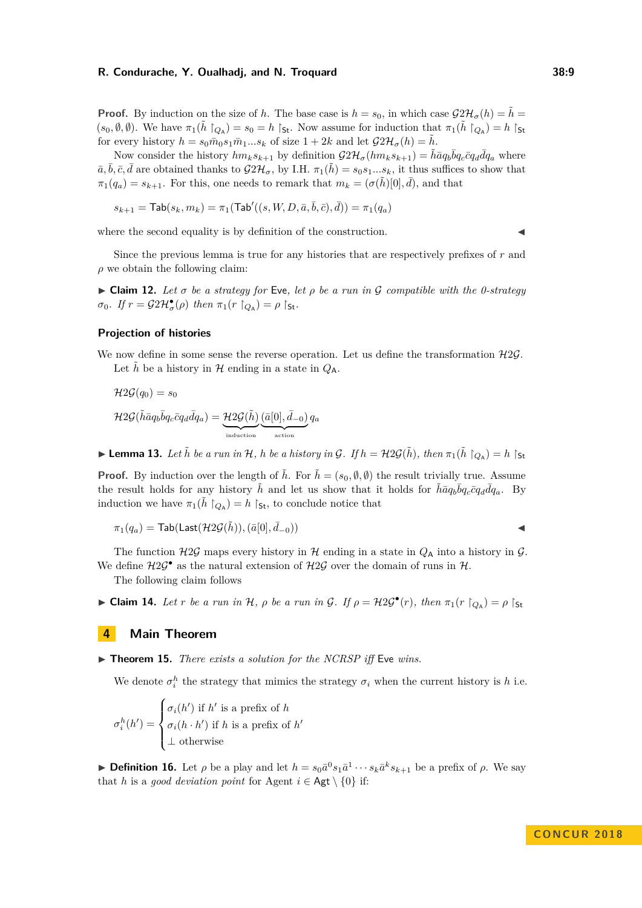**Proof.** By induction on the size of *h*. The base case is  $h = s_0$ , in which case  $\mathcal{G}2\mathcal{H}_{\sigma}(h) = \tilde{h}$  $(s_0, \emptyset, \emptyset)$ . We have  $\pi_1(\tilde{h} \restriction_{Q_{\mathsf{A}}}) = s_0 = h \restriction_{\mathsf{St}}$ . Now assume for induction that  $\pi_1(\tilde{h} \restriction_{Q_{\mathsf{A}}}) = h \restriction_{\mathsf{St}}$ for every history  $h = s_0 \bar{m}_0 s_1 \bar{m}_1...s_k$  of size  $1 + 2k$  and let  $\mathcal{G}2\mathcal{H}_{\sigma}(h) = \bar{h}$ .

Now consider the history  $hm_ks_{k+1}$  by definition  $\mathcal{G}2\mathcal{H}_{\sigma}(hm_ks_{k+1}) = \tilde{h}\bar{a}q_b\bar{b}q_c\bar{c}q_d\bar{d}q_a$  where  $\bar{a}, \bar{b}, \bar{c}, \bar{d}$  are obtained thanks to  $\mathcal{G}2\mathcal{H}_{\sigma}$ , by I.H.  $\pi_1(\tilde{h}) = s_0s_1...s_k$ , it thus suffices to show that  $\pi_1(q_a) = s_{k+1}$ . For this, one needs to remark that  $m_k = (\sigma(\tilde{h})[0], \bar{d})$ , and that

$$
s_{k+1} = \mathsf{Tab}(s_k, m_k) = \pi_1(\mathsf{Tab}'((s, W, D, \bar{a}, \bar{b}, \bar{c}), \bar{d})) = \pi_1(q_a)
$$

where the second equality is by definition of the construction.

Since the previous lemma is true for any histories that are respectively prefixes of *r* and  $\rho$  we obtain the following claim:

<span id="page-8-1"></span> $\triangleright$  **Claim 12.** Let  $\sigma$  be a strategy for Eve, let  $\rho$  be a run in  $\mathcal G$  compatible with the 0-strategy  $\sigma_0$ *. If*  $r = \mathcal{G}2\mathcal{H}_{\sigma}^{\bullet}(\rho)$  *then*  $\pi_1(r \restriction_{Q_{\mathsf{A}}}) = \rho \restriction_{\mathsf{St}}$ *.* 

### **Projection of histories**

We now define in some sense the reverse operation. Let us define the transformation  $H2\mathcal{G}$ . Let *h* be a history in  $H$  ending in a state in  $Q_A$ .

$$
\mathcal{H}2\mathcal{G}(q_0) = s_0
$$
  

$$
\mathcal{H}2\mathcal{G}(\tilde{h}\bar{a}q_b\bar{b}q_c\bar{c}q_d\bar{d}q_a) = \underbrace{\mathcal{H}2\mathcal{G}(\tilde{h})}_{induction}(\underline{\bar{a}[0],\bar{d}_{-0})}_{action}q_a
$$

**Example 13.** Let  $\tilde{h}$  be a run in H, h be a history in G. If  $h = \mathcal{H} 2\mathcal{G}(\tilde{h})$ , then  $\pi_1(\tilde{h} \restriction_{Q_A}) = h \restriction_{St}$ 

**Proof.** By induction over the length of  $\tilde{h}$ . For  $\tilde{h} = (s_0, \emptyset, \emptyset)$  the result trivially true. Assume the result holds for any history  $\tilde{h}$  and let us show that it holds for  $\tilde{h} \bar{a} q_b \bar{b} q_c \bar{c} q_d \bar{d} q_a$ . By induction we have  $\pi_1(\tilde{h} \restriction_{Q_A}) = h \restriction_{\mathsf{St}}$ , to conclude notice that

$$
\pi_1(q_a) = \mathsf{Tab}(\mathsf{Last}(\mathcal{H}2\mathcal{G}(\tilde{h})),(\bar{a}[0],\bar{d}_{-0})) \qquad \qquad \blacktriangleleft
$$

The function  $H2G$  maps every history in H ending in a state in  $Q_A$  into a history in G. We define  $H2\mathcal{G}^{\bullet}$  as the natural extension of  $H2\mathcal{G}$  over the domain of runs in  $H$ .

The following claim follows

<span id="page-8-2"></span>► **Claim 14.** Let *r* be a run in H,  $\rho$  be a run in G. If  $\rho = \mathcal{H}2\mathcal{G}^{\bullet}(r)$ , then  $\pi_1(r \upharpoonright_{Q_{\mathsf{A}}}) = \rho \upharpoonright_{St}$ 

# **4 Main Theorem**

▶ **Theorem 15.** *There exists a solution for the NCRSP iff* Eve *wins.* 

We denote  $\sigma_i^h$  the strategy that mimics the strategy  $\sigma_i$  when the current history is *h* i.e.

$$
\sigma_i^h(h') = \begin{cases} \sigma_i(h') \text{ if } h' \text{ is a prefix of } h \\ \sigma_i(h \cdot h') \text{ if } h \text{ is a prefix of } h' \\ \bot \text{ otherwise} \end{cases}
$$

<span id="page-8-0"></span>**Definition 16.** Let  $\rho$  be a play and let  $h = s_0 \bar{a}^0 s_1 \bar{a}^1 \cdots s_k \bar{a}^k s_{k+1}$  be a prefix of  $\rho$ . We say that *h* is a *good deviation point* for Agent  $i \in \mathsf{Agt} \setminus \{0\}$  if: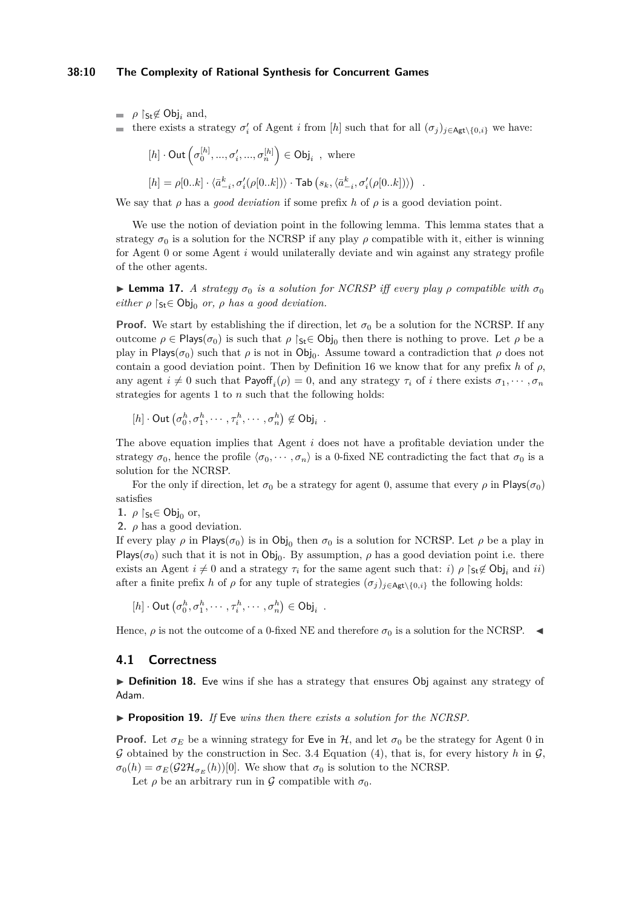### **38:10 The Complexity of Rational Synthesis for Concurrent Games**

 $\rho$  S<sub>t</sub>∉ Obj<sub>*i*</sub> and,

there exists a strategy  $\sigma'_i$  of Agent *i* from [*h*] such that for all  $(\sigma_j)_{j \in \mathsf{Agt}\setminus\{0,i\}}$  we have:

$$
[h] \cdot \text{Out}(\sigma_0^{[h]}, \dots, \sigma_i', \dots, \sigma_n^{[h]}) \in \text{Obj}_i, \text{ where}
$$
  

$$
[h] = \rho[0..k] \cdot \langle \bar{a}_{-i}^k, \sigma_i'(\rho[0..k]) \rangle \cdot \text{Tab}(s_k, \langle \bar{a}_{-i}^k, \sigma_i'(\rho[0..k]) \rangle) .
$$

We say that *ρ* has a *good deviation* if some prefix *h* of *ρ* is a good deviation point.

We use the notion of deviation point in the following lemma. This lemma states that a strategy  $\sigma_0$  is a solution for the NCRSP if any play  $\rho$  compatible with it, either is winning for Agent 0 or some Agent *i* would unilaterally deviate and win against any strategy profile of the other agents.

<span id="page-9-0"></span>**I Lemma 17.** *A strategy*  $\sigma_0$  *is a solution for NCRSP iff every play*  $\rho$  *compatible with*  $\sigma_0$ *either*  $\rho$   $\zeta_t \in \text{Obj}_0$  *or,*  $\rho$  *has a good deviation.* 

**Proof.** We start by establishing the if direction, let  $\sigma_0$  be a solution for the NCRSP. If any outcome  $\rho \in \text{Plays}(\sigma_0)$  is such that  $\rho \upharpoonright_{\text{St}} \in \text{Obj}_0$  then there is nothing to prove. Let  $\rho$  be a play in Plays( $\sigma_0$ ) such that  $\rho$  is not in  $\text{Obj}_0$ . Assume toward a contradiction that  $\rho$  does not contain a good deviation point. Then by Definition [16](#page-8-0) we know that for any prefix *h* of  $\rho$ , any agent  $i \neq 0$  such that Payoff<sub>*i*</sub>( $\rho$ ) = 0, and any strategy  $\tau_i$  of *i* there exists  $\sigma_1, \cdots, \sigma_n$ strategies for agents 1 to *n* such that the following holds:

 $[h] \cdot \text{Out}(\sigma_0^h, \sigma_1^h, \cdots, \tau_i^h, \cdots, \sigma_n^h) \notin \text{Obj}_i$ .

The above equation implies that Agent *i* does not have a profitable deviation under the strategy  $\sigma_0$ , hence the profile  $\langle \sigma_0, \cdots, \sigma_n \rangle$  is a 0-fixed NE contradicting the fact that  $\sigma_0$  is a solution for the NCRSP.

For the only if direction, let  $\sigma_0$  be a strategy for agent 0, assume that every  $\rho$  in Plays( $\sigma_0$ ) satisfies

**1.**  $\rho$  |st∈ Obj<sub>0</sub> or,

**2.**  $\rho$  has a good deviation.

If every play  $\rho$  in Plays( $\sigma_0$ ) is in Obj<sub>0</sub> then  $\sigma_0$  is a solution for NCRSP. Let  $\rho$  be a play in Plays( $\sigma_0$ ) such that it is not in Obj<sub>0</sub>. By assumption,  $\rho$  has a good deviation point i.e. there exists an Agent  $i \neq 0$  and a strategy  $\tau_i$  for the same agent such that: *i*)  $\rho$  [s<sub>t</sub> $\notin$  Obj<sub>*i*</sub> and *ii*) after a finite prefix *h* of *ρ* for any tuple of strategies  $(\sigma_i)_{i \in \mathsf{Agt}} \setminus \{0, i\}$  the following holds:

 $[h] \cdot \text{Out}(\sigma_0^h, \sigma_1^h, \cdots, \tau_i^h, \cdots, \sigma_n^h) \in \text{Obj}_i$ .

Hence,  $\rho$  is not the outcome of a 0-fixed NE and therefore  $\sigma_0$  is a solution for the NCRSP.

## **4.1 Correctness**

► **Definition 18.** Eve wins if she has a strategy that ensures Obj against any strategy of Adam.

▶ **Proposition 19.** *If* Eve *wins then there exists a solution for the NCRSP.* 

**Proof.** Let  $\sigma_E$  be a winning strategy for Eve in H, and let  $\sigma_0$  be the strategy for Agent 0 in G obtained by the construction in Sec. [3.4](#page-7-1) Equation [\(4\)](#page-7-0), that is, for every history h in  $\mathcal{G}$ ,  $\sigma_0(h) = \sigma_E(\mathcal{G}2\mathcal{H}_{\sigma_E}(h))$ [0]. We show that  $\sigma_0$  is solution to the NCRSP.

Let  $\rho$  be an arbitrary run in  $\mathcal G$  compatible with  $\sigma_0$ .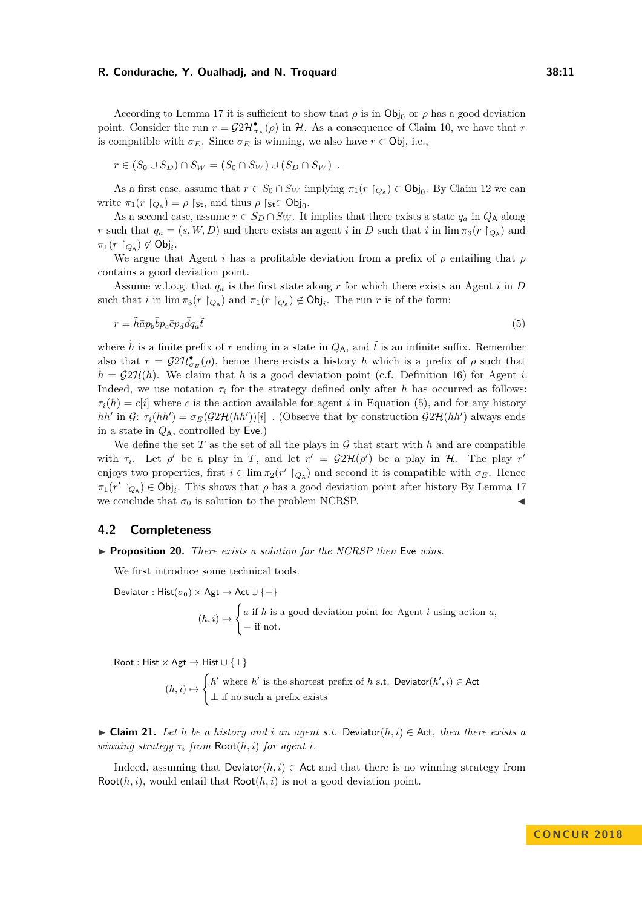According to Lemma [17](#page-9-0) it is sufficient to show that  $\rho$  is in Obj<sub>0</sub> or  $\rho$  has a good deviation point. Consider the run  $r = \mathcal{G}2\mathcal{H}_{\sigma_E}^{\bullet}(\rho)$  in  $\mathcal{H}$ . As a consequence of Claim [10,](#page-7-2) we have that  $r$ is compatible with  $\sigma_E$ . Since  $\sigma_E$  is winning, we also have  $r \in \text{Obj}$ , i.e.,

$$
r \in (S_0 \cup S_D) \cap S_W = (S_0 \cap S_W) \cup (S_D \cap S_W) .
$$

As a first case, assume that  $r \in S_0 \cap S_W$  implying  $\pi_1(r \restriction_{Q_A}) \in \text{Obj}_0$ . By Claim [12](#page-8-1) we can write  $\pi_1(r \restriction_{Q_A}) = \rho \restriction_{\mathsf{St}},$  and thus  $\rho \restriction_{\mathsf{St}} \in \mathsf{Obj}_0$ .

As a second case, assume  $r \in S_D \cap S_W$ . It implies that there exists a state  $q_a$  in  $Q_A$  along *r* such that  $q_a = (s, W, D)$  and there exists an agent *i* in *D* such that *i* in  $\lim_{t \to \infty} \pi_3(r \restriction_{Q_A})$  and  $\pi_1(r \restriction_{Q_A}) \notin \textsf{Obj}_i$ .

We argue that Agent *i* has a profitable deviation from a prefix of *ρ* entailing that *ρ* contains a good deviation point.

Assume w.l.o.g. that *q<sup>a</sup>* is the first state along *r* for which there exists an Agent *i* in *D* such that *i* in  $\lim \pi_3(r \restriction_{Q_A})$  and  $\pi_1(r \restriction_{Q_A}) \notin \text{Obj}_i$ . The run *r* is of the form:

<span id="page-10-0"></span>
$$
r = \tilde{h}\bar{a}p_b\bar{b}p_c\bar{c}p_d\bar{d}q_a\tilde{t}
$$
\n<sup>(5)</sup>

where  $\tilde{h}$  is a finite prefix of *r* ending in a state in  $Q_A$ , and  $\tilde{t}$  is an infinite suffix. Remember also that  $r = \mathcal{G}2\mathcal{H}_{\sigma_E}^{\bullet}(\rho)$ , hence there exists a history *h* which is a prefix of  $\rho$  such that  $h = \mathcal{G}2\mathcal{H}(h)$ . We claim that h is a good deviation point (c.f. Definition [16\)](#page-8-0) for Agent *i*. Indeed, we use notation  $\tau_i$  for the strategy defined only after *h* has occurred as follows:  $\tau_i(h) = \bar{c}[i]$  where  $\bar{c}$  is the action available for agent *i* in Equation [\(5\)](#page-10-0), and for any history *hh*<sup> $\prime$ </sup> in  $\mathcal{G}$ :  $\tau_i(hh') = \sigma_E(\mathcal{G}2\mathcal{H}(hh'))[i]$  . (Observe that by construction  $\mathcal{G}2\mathcal{H}(hh')$  always ends in a state in  $Q_A$ , controlled by **Eve.**)

We define the set  $T$  as the set of all the plays in  $\mathcal G$  that start with  $h$  and are compatible with  $\tau_i$ . Let  $\rho'$  be a play in *T*, and let  $r' = \mathcal{G}2\mathcal{H}(\rho')$  be a play in  $\mathcal{H}$ . The play  $r'$ enjoys two properties, first  $i \in \lim \pi_2(r' \upharpoonright_{Q_A})$  and second it is compatible with  $\sigma_E$ . Hence  $\pi_1(r' \upharpoonright_{Q_A}) \in \text{Obj}_i$ . This shows that  $\rho$  has a good deviation point after history By Lemma [17](#page-9-0) we conclude that  $\sigma_0$  is solution to the problem NCRSP.

## **4.2 Completeness**

<span id="page-10-1"></span>▶ **Proposition 20.** *There exists a solution for the NCRSP then* Eve *wins.* 

We first introduce some technical tools.

Deviator : Hist( $\sigma_0$ ) × Agt  $\rightarrow$  Act  $\cup$  {-}

$$
(h, i) \mapsto \begin{cases} a \text{ if } h \text{ is a good deviation point for Agent } i \text{ using action } a, \\ - \text{ if not.} \end{cases}
$$

Root : Hist  $\times$  Agt  $\rightarrow$  Hist  $\cup$  { $\perp$ }

 $(h, i) \mapsto$  $\int h'$  where *h*<sup> $\prime$ </sup> is the shortest prefix of *h* s.t. Deviator $(h', i) \in$  Act ⊥ if no such a prefix exists

<span id="page-10-2"></span>**► Claim 21.** Let *h* be a history and *i* an agent *s.t.* Deviator( $h, i$ ) ∈ Act, then there exists a *winning strategy*  $\tau_i$  *from*  $Root(h, i)$  *for agent i.* 

Indeed, assuming that  $Deviator(h, i) \in \text{Act}$  and that there is no winning strategy from Root $(h, i)$ , would entail that  $Root(h, i)$  is not a good deviation point.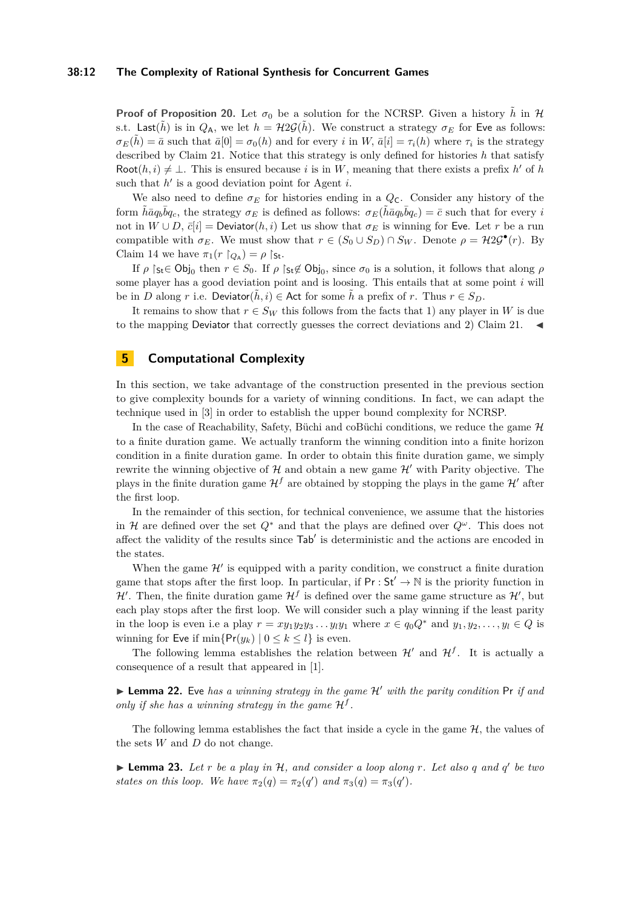#### **38:12 The Complexity of Rational Synthesis for Concurrent Games**

**Proof of Proposition [20.](#page-10-1)** Let  $\sigma_0$  be a solution for the NCRSP. Given a history  $\tilde{h}$  in H s.t. Last( $\tilde{h}$ ) is in  $Q_A$ , we let  $h = \mathcal{H}2\mathcal{G}(\tilde{h})$ . We construct a strategy  $\sigma_E$  for Eve as follows:  $\sigma_E(\tilde{h}) = \bar{a}$  such that  $\bar{a}[0] = \sigma_0(h)$  and for every *i* in *W*,  $\bar{a}[i] = \tau_i(h)$  where  $\tau_i$  is the strategy described by Claim [21.](#page-10-2) Notice that this strategy is only defined for histories *h* that satisfy Root $(h, i) \neq \bot$ . This is ensured because *i* is in *W*, meaning that there exists a prefix *h*' of *h* such that  $h'$  is a good deviation point for Agent  $i$ .

We also need to define  $\sigma_E$  for histories ending in a  $Q_C$ . Consider any history of the form  $\tilde{h} \bar{a} q_b \bar{b} q_c$ , the strategy  $\sigma_E$  is defined as follows:  $\sigma_E(\tilde{h} \bar{a} q_b \bar{b} q_c) = \bar{c}$  such that for every *i* not in  $W \cup D$ ,  $\bar{c}[i] =$  Deviator $(h, i)$  Let us show that  $\sigma_E$  is winning for Eve. Let *r* be a run compatible with  $\sigma_E$ . We must show that  $r \in (S_0 \cup S_D) \cap S_W$ . Denote  $\rho = \mathcal{H}2\mathcal{G}^{\bullet}(r)$ . By Claim [14](#page-8-2) we have  $\pi_1(r \restriction_{Q_A}) = \rho \restriction_{\mathsf{St}}$ .

If  $\rho$   $\restriction$ <sub>St</sub>∈ Obj<sub>0</sub> then  $r \in S_0$ . If  $\rho \restriction$ <sub>St</sub>∉ Obj<sub>0</sub>, since  $\sigma_0$  is a solution, it follows that along  $\rho$ some player has a good deviation point and is loosing. This entails that at some point *i* will be in *D* along *r* i.e. Deviator( $\tilde{h}, i$ )  $\in$  Act for some  $\tilde{h}$  a prefix of *r*. Thus  $r \in S_D$ .

It remains to show that  $r \in S_W$  this follows from the facts that 1) any player in *W* is due to the mapping Deviator that correctly guesses the correct deviations and 2) Claim [21.](#page-10-2)

# <span id="page-11-0"></span>**5 Computational Complexity**

In this section, we take advantage of the construction presented in the previous section to give complexity bounds for a variety of winning conditions. In fact, we can adapt the technique used in [\[3\]](#page-14-4) in order to establish the upper bound complexity for NCRSP.

In the case of Reachability, Safety, Büchi and coBüchi conditions, we reduce the game  $H$ to a finite duration game. We actually tranform the winning condition into a finite horizon condition in a finite duration game. In order to obtain this finite duration game, we simply rewrite the winning objective of  $\mathcal H$  and obtain a new game  $\mathcal H'$  with Parity objective. The plays in the finite duration game  $\mathcal{H}^f$  are obtained by stopping the plays in the game  $\mathcal{H}^f$  after the first loop.

In the remainder of this section, for technical convenience, we assume that the histories in H are defined over the set  $Q^*$  and that the plays are defined over  $Q^{\omega}$ . This does not affect the validity of the results since  $\text{Tab}'$  is deterministic and the actions are encoded in the states.

When the game  $\mathcal{H}'$  is equipped with a parity condition, we construct a finite duration game that stops after the first loop. In particular, if  $Pr : St' \to \mathbb{N}$  is the priority function in  $\mathcal{H}'$ . Then, the finite duration game  $\mathcal{H}^f$  is defined over the same game structure as  $\mathcal{H}'$ , but each play stops after the first loop. We will consider such a play winning if the least parity in the loop is even i.e a play  $r = xy_1y_2y_3 \ldots y_ly_1$  where  $x \in q_0Q^*$  and  $y_1, y_2, \ldots, y_l \in Q$  is winning for Eve if  $\min\{Pr(y_k) | 0 \le k \le l\}$  is even.

The following lemma establishes the relation between  $\mathcal{H}'$  and  $\mathcal{H}^f$ . It is actually a consequence of a result that appeared in [\[1\]](#page-14-6).

<span id="page-11-2"></span> $\triangleright$  **Lemma 22.** Eve has a winning strategy in the game  $\mathcal{H}'$  with the parity condition Pr if and only if she has a winning strategy in the game  $H^f$ .

The following lemma establishes the fact that inside a cycle in the game  $H$ , the values of the sets *W* and *D* do not change.

<span id="page-11-1"></span>**Example 23.** Let r be a play in H, and consider a loop along r. Let also q and  $q'$  be two *states on this loop.* We have  $\pi_2(q) = \pi_2(q')$  and  $\pi_3(q) = \pi_3(q')$ .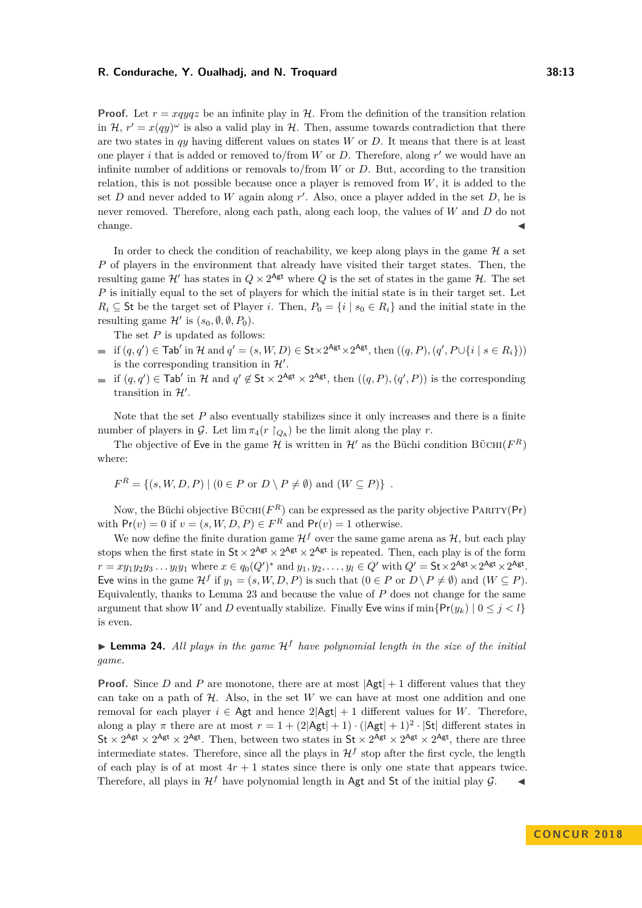**Proof.** Let  $r = xqyqz$  be an infinite play in H. From the definition of the transition relation in  $\mathcal{H}$ ,  $r' = x(qy)^\omega$  is also a valid play in  $\mathcal{H}$ . Then, assume towards contradiction that there are two states in  $q\bar{q}$  having different values on states *W* or *D*. It means that there is at least one player *i* that is added or removed to/from  $W$  or  $D$ . Therefore, along  $r'$  we would have an infinite number of additions or removals to/from *W* or *D*. But, according to the transition relation, this is not possible because once a player is removed from *W*, it is added to the set  $D$  and never added to  $W$  again along  $r'$ . Also, once a player added in the set  $D$ , he is never removed. Therefore, along each path, along each loop, the values of *W* and *D* do not change.  $\blacktriangleleft$ 

In order to check the condition of reachability, we keep along plays in the game  $\mathcal{H}$  a set *P* of players in the environment that already have visited their target states. Then, the resulting game  $\mathcal{H}'$  has states in  $Q \times 2^{\mathsf{Agt}}$  where  $Q$  is the set of states in the game  $\mathcal{H}$ . The set *P* is initially equal to the set of players for which the initial state is in their target set. Let  $R_i \subseteq$  St be the target set of Player *i*. Then,  $P_0 = \{i \mid s_0 \in R_i\}$  and the initial state in the resulting game  $\mathcal{H}'$  is  $(s_0, \emptyset, \emptyset, P_0)$ .

The set *P* is updated as follows:

- if  $(q, q') \in \textsf{Tab}'$  in  $\mathcal H$  and  $q' = (s, W, D) \in \textsf{St} \times 2^{\textsf{Agt}} \times 2^{\textsf{Agt}}, \text{ then } ((q, P), (q', P \cup \{i \mid s \in R_i\}))$ is the corresponding transition in  $\mathcal{H}'$ .
- if  $(q, q') \in \text{Tab}'$  in H and  $q' \notin \text{St} \times 2^{\text{Agt}} \times 2^{\text{Agt}}$ , then  $((q, P), (q', P))$  is the corresponding transition in  $\mathcal{H}'$ .

Note that the set P also eventually stabilizes since it only increases and there is a finite number of players in G. Let  $\lim_{\pi_4}(r \restriction_{Q_A})$  be the limit along the play r.

The objective of Eve in the game  $\mathcal H$  is written in  $\mathcal H'$  as the Büchi condition BÜCHI( $F^R$ ) where:

$$
F^{R} = \{(s, W, D, P) \mid (0 \in P \text{ or } D \setminus P \neq \emptyset) \text{ and } (W \subseteq P)\}.
$$

Now, the Büchi objective  $\text{B} \ddot{\text{U}} \text{CHI}(F^R)$  can be expressed as the parity objective PARITY(Pr) with  $Pr(v) = 0$  if  $v = (s, W, D, P) \in F<sup>R</sup>$  and  $Pr(v) = 1$  otherwise.

We now define the finite duration game  $\mathcal{H}^f$  over the same game arena as  $\mathcal{H}$ , but each play stops when the first state in  $St \times 2^{\text{Agt}} \times 2^{\text{Agt}} \times 2^{\text{Agt}}$  is repeated. Then, each play is of the form  $r = xy_1y_2y_3...y_ly_1$  where  $x \in q_0(Q')^*$  and  $y_1, y_2,..., y_l \in Q'$  with  $Q' = \mathsf{St} \times 2^{\mathsf{Agt}} \times 2^{\mathsf{Agt}} \times 2^{\mathsf{Agt}}$ . Eve wins in the game  $\mathcal{H}^f$  if  $y_1 = (s, W, D, P)$  is such that  $(0 \in P$  or  $D \backslash P \neq \emptyset)$  and  $(W \subseteq P)$ . Equivalently, thanks to Lemma [23](#page-11-1) and because the value of *P* does not change for the same argument that show *W* and *D* eventually stabilize. Finally Eve wins if  $\min\{Pr(y_k) | 0 \leq j \leq l\}$ is even.

<span id="page-12-0"></span>**Lemma 24.** All plays in the game  $H<sup>f</sup>$  have polynomial length in the size of the initial *game.*

**Proof.** Since *D* and *P* are monotone, there are at most  $|\mathsf{Agt}| + 1$  different values that they can take on a path of  $H$ . Also, in the set  $W$  we can have at most one addition and one removal for each player  $i \in \mathsf{Agt}$  and hence  $2|\mathsf{Agt}| + 1$  different values for *W*. Therefore, along a play  $\pi$  there are at most  $r = 1 + (2|\mathsf{Agt}| + 1) \cdot (|\mathsf{Agt}| + 1)^2 \cdot |\mathsf{St}|$  different states in St  $\times$  2<sup>Agt</sup>  $\times$  2<sup>Agt</sup>. Then, between two states in St  $\times$  2<sup>Agt</sup>  $\times$  2<sup>Agt</sup>, there are three intermediate states. Therefore, since all the plays in  $\mathcal{H}^f$  stop after the first cycle, the length of each play is of at most  $4r + 1$  states since there is only one state that appears twice. Therefore, all plays in  $\mathcal{H}^f$  have polynomial length in Agt and St of the initial play  $\mathcal{G}$ .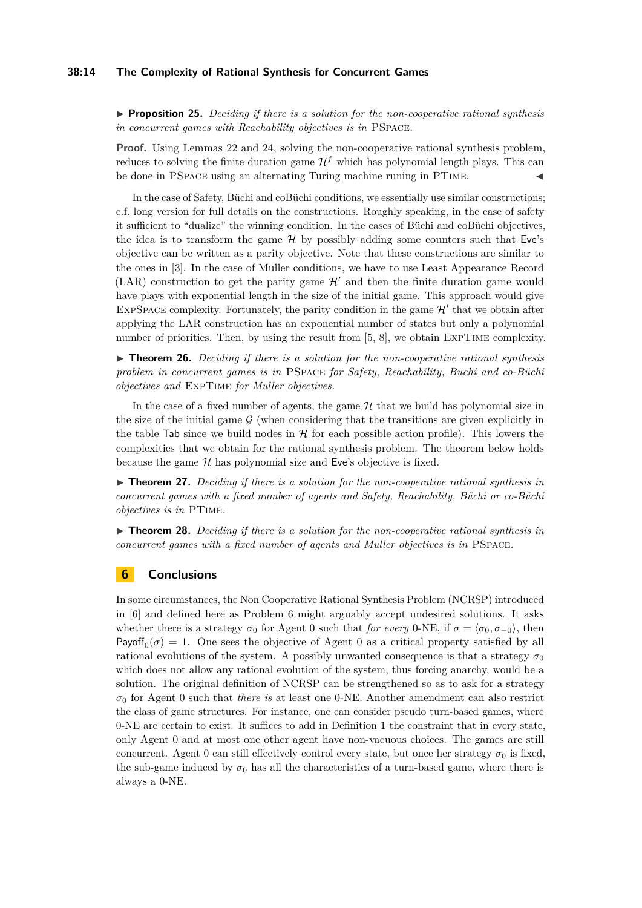### **38:14 The Complexity of Rational Synthesis for Concurrent Games**

I **Proposition 25.** *Deciding if there is a solution for the non-cooperative rational synthesis in concurrent games with Reachability objectives is in* PSpace*.*

**Proof.** Using Lemmas [22](#page-11-2) and [24,](#page-12-0) solving the non-cooperative rational synthesis problem, reduces to solving the finite duration game  $\mathcal{H}^f$  which has polynomial length plays. This can be done in PSPACE using an alternating Turing machine runing in PTIME.

In the case of Safety, Büchi and coBüchi conditions, we essentially use similar constructions; c.f. long version for full details on the constructions. Roughly speaking, in the case of safety it sufficient to "dualize" the winning condition. In the cases of Büchi and coBüchi objectives, the idea is to transform the game  $H$  by possibly adding some counters such that Eve's objective can be written as a parity objective. Note that these constructions are similar to the ones in [\[3\]](#page-14-4). In the case of Muller conditions, we have to use Least Appearance Record (LAR) construction to get the parity game  $\mathcal{H}'$  and then the finite duration game would have plays with exponential length in the size of the initial game. This approach would give EXPSPACE complexity. Fortunately, the parity condition in the game  $\mathcal{H}'$  that we obtain after applying the LAR construction has an exponential number of states but only a polynomial number of priorities. Then, by using the result from [\[5,](#page-14-7) [8\]](#page-14-8), we obtain ExpTime complexity.

▶ **Theorem 26.** *Deciding if there is a solution for the non-cooperative rational synthesis problem in concurrent games is in* PSpace *for Safety, Reachability, Büchi and co-Büchi objectives and* ExpTime *for Muller objectives.*

In the case of a fixed number of agents, the game  $H$  that we build has polynomial size in the size of the initial game  $G$  (when considering that the transitions are given explicitly in the table Tab since we build nodes in  $H$  for each possible action profile). This lowers the complexities that we obtain for the rational synthesis problem. The theorem below holds because the game  $H$  has polynomial size and Eve's objective is fixed.

▶ **Theorem 27.** *Deciding if there is a solution for the non-cooperative rational synthesis in concurrent games with a fixed number of agents and Safety, Reachability, Büchi or co-Büchi objectives is in* PTime*.*

▶ **Theorem 28.** *Deciding if there is a solution for the non-cooperative rational synthesis in concurrent games with a fixed number of agents and Muller objectives is in* PSpace*.*

# **6 Conclusions**

In some circumstances, the Non Cooperative Rational Synthesis Problem (NCRSP) introduced in [\[6\]](#page-14-2) and defined here as Problem [6](#page-3-0) might arguably accept undesired solutions. It asks whether there is a strategy  $\sigma_0$  for Agent 0 such that *for every* 0-NE, if  $\bar{\sigma} = \langle \sigma_0, \bar{\sigma}_{-0} \rangle$ , then Payoff<sub>0</sub> $(\bar{\sigma}) = 1$ . One sees the objective of Agent 0 as a critical property satisfied by all rational evolutions of the system. A possibly unwanted consequence is that a strategy  $\sigma_0$ which does not allow any rational evolution of the system, thus forcing anarchy, would be a solution. The original definition of NCRSP can be strengthened so as to ask for a strategy  $\sigma_0$  for Agent 0 such that *there is* at least one 0-NE. Another amendment can also restrict the class of game structures. For instance, one can consider pseudo turn-based games, where 0-NE are certain to exist. It suffices to add in Definition [1](#page-2-0) the constraint that in every state, only Agent 0 and at most one other agent have non-vacuous choices. The games are still concurrent. Agent 0 can still effectively control every state, but once her strategy  $\sigma_0$  is fixed, the sub-game induced by  $\sigma_0$  has all the characteristics of a turn-based game, where there is always a 0-NE.